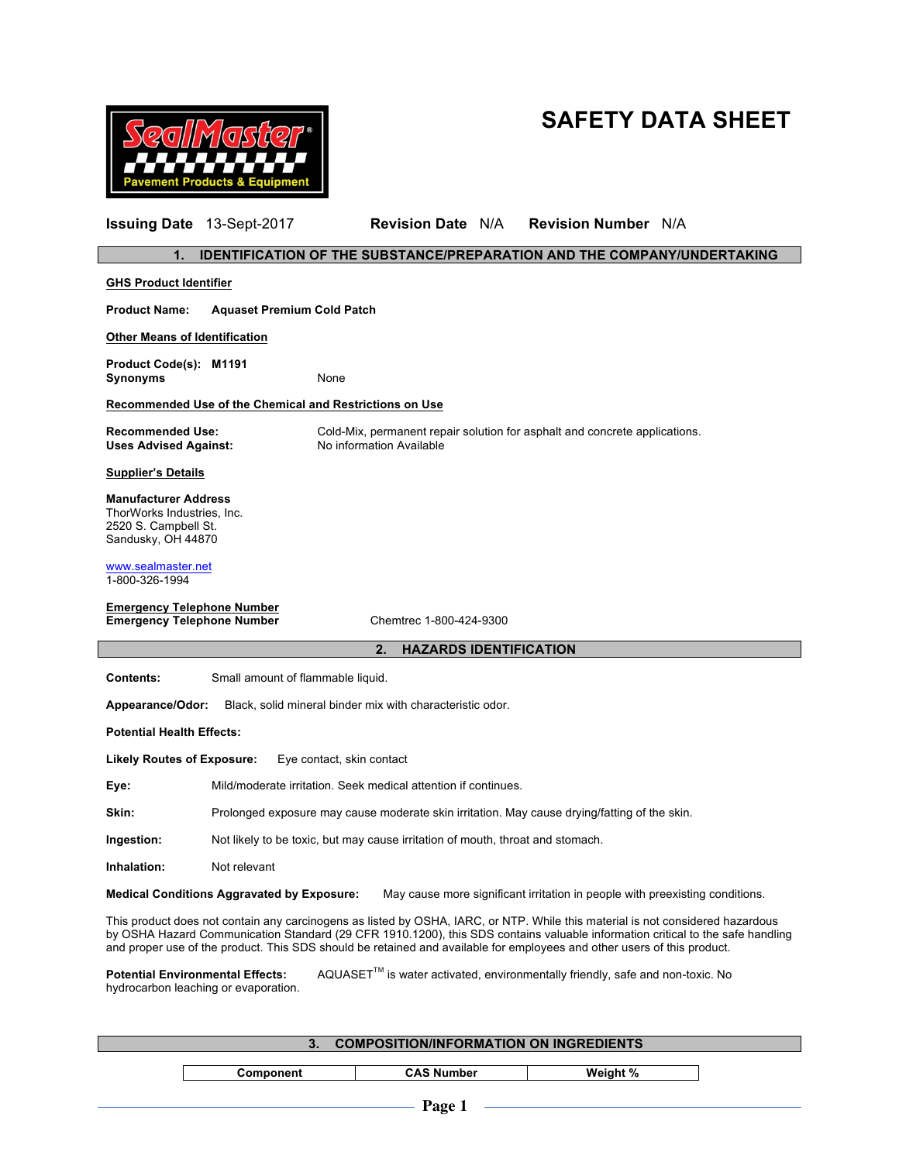## **SAFETY DATA SHEET**



| $\mathbf 1$ .<br><b>IDENTIFICATION OF THE SUBSTANCE/PREPARATION AND THE COMPANY/UNDERTAKING</b>                                                                                                                                                                                                                                                                                             |                                                                                                        |  |  |
|---------------------------------------------------------------------------------------------------------------------------------------------------------------------------------------------------------------------------------------------------------------------------------------------------------------------------------------------------------------------------------------------|--------------------------------------------------------------------------------------------------------|--|--|
| <b>GHS Product Identifier</b>                                                                                                                                                                                                                                                                                                                                                               |                                                                                                        |  |  |
| <b>Product Name:</b><br><b>Aquaset Premium Cold Patch</b>                                                                                                                                                                                                                                                                                                                                   |                                                                                                        |  |  |
| <b>Other Means of Identification</b>                                                                                                                                                                                                                                                                                                                                                        |                                                                                                        |  |  |
| Product Code(s): M1191<br>Synonyms                                                                                                                                                                                                                                                                                                                                                          | None                                                                                                   |  |  |
| Recommended Use of the Chemical and Restrictions on Use                                                                                                                                                                                                                                                                                                                                     |                                                                                                        |  |  |
| <b>Recommended Use:</b><br><b>Uses Advised Against:</b>                                                                                                                                                                                                                                                                                                                                     | Cold-Mix, permanent repair solution for asphalt and concrete applications.<br>No information Available |  |  |
| <b>Supplier's Details</b>                                                                                                                                                                                                                                                                                                                                                                   |                                                                                                        |  |  |
| <b>Manufacturer Address</b><br>ThorWorks Industries, Inc.<br>2520 S. Campbell St.<br>Sandusky, OH 44870                                                                                                                                                                                                                                                                                     |                                                                                                        |  |  |
| www.sealmaster.net<br>1-800-326-1994                                                                                                                                                                                                                                                                                                                                                        |                                                                                                        |  |  |
| <b>Emergency Telephone Number</b><br><b>Emergency Telephone Number</b><br>Chemtrec 1-800-424-9300                                                                                                                                                                                                                                                                                           |                                                                                                        |  |  |
|                                                                                                                                                                                                                                                                                                                                                                                             | 2.<br><b>HAZARDS IDENTIFICATION</b>                                                                    |  |  |
| <b>Contents:</b><br>Small amount of flammable liquid.                                                                                                                                                                                                                                                                                                                                       |                                                                                                        |  |  |
| Appearance/Odor:                                                                                                                                                                                                                                                                                                                                                                            | Black, solid mineral binder mix with characteristic odor.                                              |  |  |
| <b>Potential Health Effects:</b>                                                                                                                                                                                                                                                                                                                                                            |                                                                                                        |  |  |
| <b>Likely Routes of Exposure:</b>                                                                                                                                                                                                                                                                                                                                                           | Eye contact, skin contact                                                                              |  |  |
| Eye:                                                                                                                                                                                                                                                                                                                                                                                        | Mild/moderate irritation. Seek medical attention if continues.                                         |  |  |
| Skin:                                                                                                                                                                                                                                                                                                                                                                                       | Prolonged exposure may cause moderate skin irritation. May cause drying/fatting of the skin.           |  |  |
| Ingestion:<br>Not likely to be toxic, but may cause irritation of mouth, throat and stomach.                                                                                                                                                                                                                                                                                                |                                                                                                        |  |  |
| Inhalation:<br>Not relevant                                                                                                                                                                                                                                                                                                                                                                 |                                                                                                        |  |  |
| <b>Medical Conditions Aggravated by Exposure:</b><br>May cause more significant irritation in people with preexisting conditions.                                                                                                                                                                                                                                                           |                                                                                                        |  |  |
| This product does not contain any carcinogens as listed by OSHA, IARC, or NTP. While this material is not considered hazardous<br>by OSHA Hazard Communication Standard (29 CFR 1910.1200), this SDS contains valuable information critical to the safe handling<br>and proper use of the product. This SDS should be retained and available for employees and other users of this product. |                                                                                                        |  |  |
| AQUASET™ is water activated, environmentally friendly, safe and non-toxic. No<br><b>Potential Environmental Effects:</b><br>hydrocarbon leaching or evaporation.                                                                                                                                                                                                                            |                                                                                                        |  |  |

**Issuing Date** 13-Sept-2017 **Revision Date** N/A **Revision Number** N/A

**3. COMPOSITION/INFORMATION ON INGREDIENTS Component CAS Number Weight %**  $\mathbf{I}$  $-$  Page 1  $-$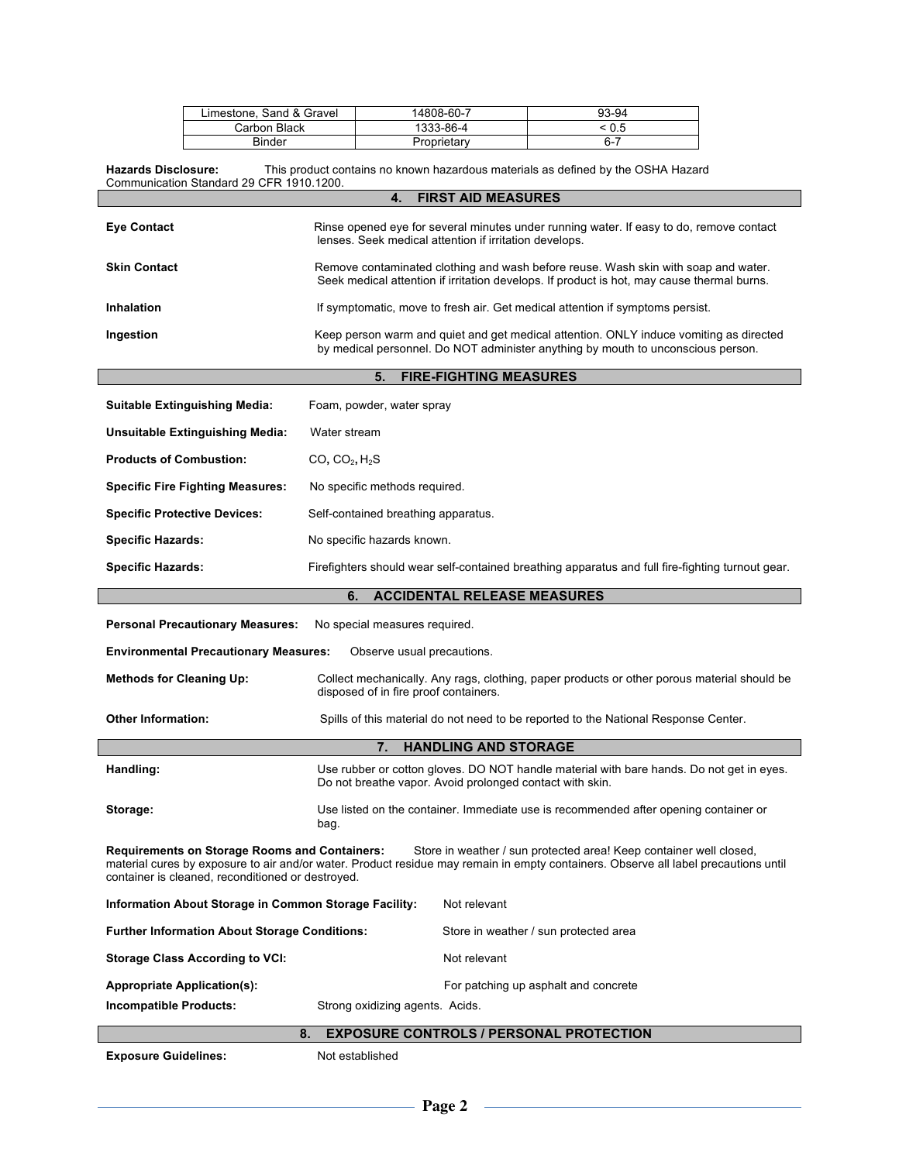| Limestone, Sand & Gravel | 14808-60-7  | 93-94      |
|--------------------------|-------------|------------|
| Carbon Black             | 1333-86-4   | $\leq 0.5$ |
| Binder                   | Proprietary | $6 - 7$    |

**Hazards Disclosure:** This product contains no known hazardous materials as defined by the OSHA Hazard Communication Standard 29 CFR 1910.1200.

| <b>FIRST AID MEASURES</b><br>4.                       |                                                                                                                                                                                                                                                         |  |  |  |
|-------------------------------------------------------|---------------------------------------------------------------------------------------------------------------------------------------------------------------------------------------------------------------------------------------------------------|--|--|--|
| <b>Eye Contact</b>                                    | Rinse opened eye for several minutes under running water. If easy to do, remove contact<br>lenses. Seek medical attention if irritation develops.                                                                                                       |  |  |  |
| <b>Skin Contact</b>                                   | Remove contaminated clothing and wash before reuse. Wash skin with soap and water.<br>Seek medical attention if irritation develops. If product is hot, may cause thermal burns.                                                                        |  |  |  |
| <b>Inhalation</b>                                     | If symptomatic, move to fresh air. Get medical attention if symptoms persist.                                                                                                                                                                           |  |  |  |
| Ingestion                                             | Keep person warm and quiet and get medical attention. ONLY induce vomiting as directed<br>by medical personnel. Do NOT administer anything by mouth to unconscious person.                                                                              |  |  |  |
|                                                       | 5.<br><b>FIRE-FIGHTING MEASURES</b>                                                                                                                                                                                                                     |  |  |  |
| <b>Suitable Extinguishing Media:</b>                  | Foam, powder, water spray                                                                                                                                                                                                                               |  |  |  |
| <b>Unsuitable Extinguishing Media:</b>                | Water stream                                                                                                                                                                                                                                            |  |  |  |
| <b>Products of Combustion:</b>                        | $CO$ , $CO2$ , $H2S$                                                                                                                                                                                                                                    |  |  |  |
| <b>Specific Fire Fighting Measures:</b>               | No specific methods required.                                                                                                                                                                                                                           |  |  |  |
| <b>Specific Protective Devices:</b>                   | Self-contained breathing apparatus.                                                                                                                                                                                                                     |  |  |  |
| <b>Specific Hazards:</b>                              | No specific hazards known.                                                                                                                                                                                                                              |  |  |  |
| <b>Specific Hazards:</b>                              | Firefighters should wear self-contained breathing apparatus and full fire-fighting turnout gear.                                                                                                                                                        |  |  |  |
|                                                       | <b>ACCIDENTAL RELEASE MEASURES</b><br>6.                                                                                                                                                                                                                |  |  |  |
| <b>Personal Precautionary Measures:</b>               | No special measures required.                                                                                                                                                                                                                           |  |  |  |
| <b>Environmental Precautionary Measures:</b>          | Observe usual precautions.                                                                                                                                                                                                                              |  |  |  |
| <b>Methods for Cleaning Up:</b>                       | Collect mechanically. Any rags, clothing, paper products or other porous material should be<br>disposed of in fire proof containers.                                                                                                                    |  |  |  |
| <b>Other Information:</b>                             | Spills of this material do not need to be reported to the National Response Center.                                                                                                                                                                     |  |  |  |
| 7.<br><b>HANDLING AND STORAGE</b>                     |                                                                                                                                                                                                                                                         |  |  |  |
| Handling:                                             | Use rubber or cotton gloves. DO NOT handle material with bare hands. Do not get in eyes.<br>Do not breathe vapor. Avoid prolonged contact with skin.                                                                                                    |  |  |  |
| Storage:                                              | Use listed on the container. Immediate use is recommended after opening container or<br>bag.                                                                                                                                                            |  |  |  |
| container is cleaned, reconditioned or destroyed.     | Requirements on Storage Rooms and Containers: Store in weather / sun protected area! Keep container well closed,<br>material cures by exposure to air and/or water. Product residue may remain in empty containers. Observe all label precautions until |  |  |  |
| Information About Storage in Common Storage Facility: | Not relevant                                                                                                                                                                                                                                            |  |  |  |
| <b>Further Information About Storage Conditions:</b>  | Store in weather / sun protected area                                                                                                                                                                                                                   |  |  |  |
| <b>Storage Class According to VCI:</b>                | Not relevant                                                                                                                                                                                                                                            |  |  |  |
| <b>Appropriate Application(s):</b>                    | For patching up asphalt and concrete                                                                                                                                                                                                                    |  |  |  |
| Incompatible Products:                                | Strong oxidizing agents. Acids.                                                                                                                                                                                                                         |  |  |  |
| <b>EXPOSURE CONTROLS / PERSONAL PROTECTION</b><br>8.  |                                                                                                                                                                                                                                                         |  |  |  |
|                                                       |                                                                                                                                                                                                                                                         |  |  |  |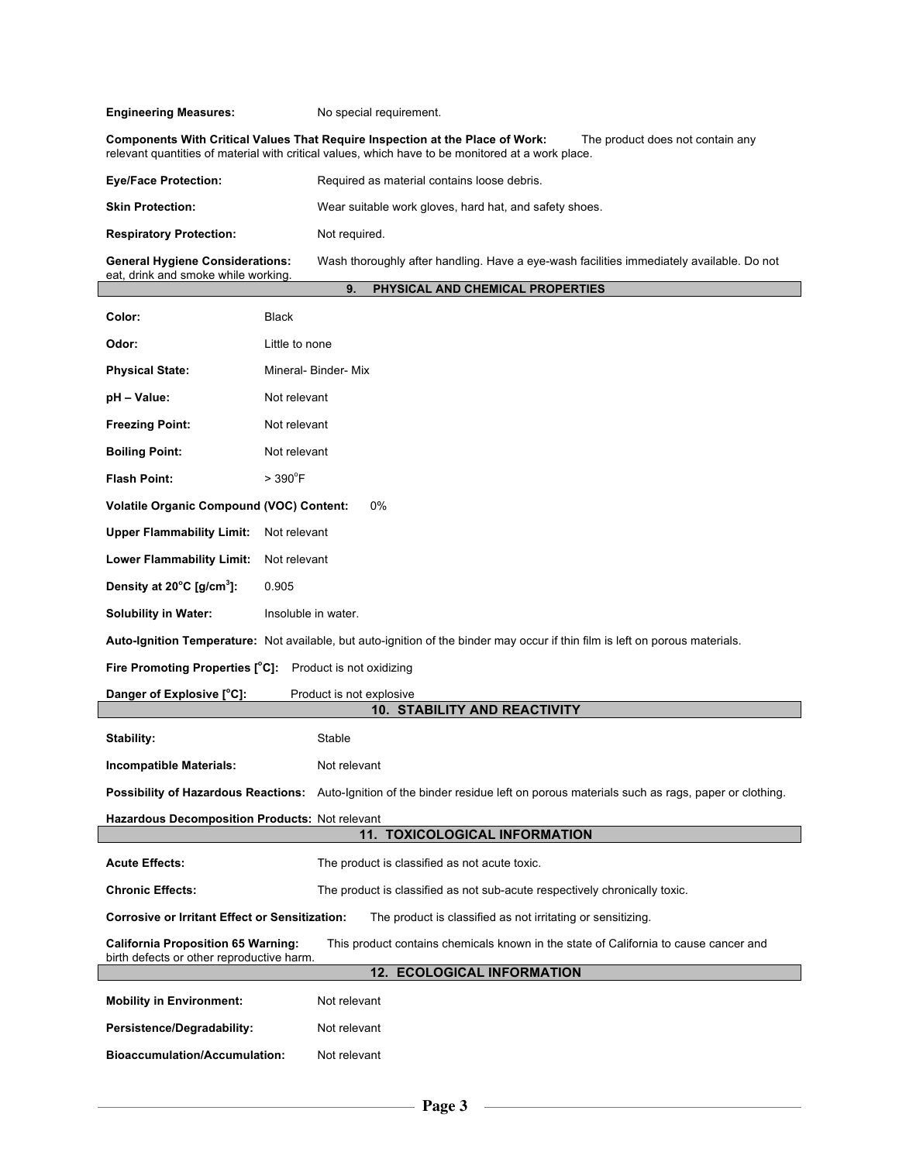**Engineering Measures:** No special requirement.

**Components With Critical Values That Require Inspection at the Place of Work:** The product does not contain any relevant quantities of material with critical values, which have to be monitored at a work place.

| <b>Eye/Face Protection:</b>                                                   | Required as material contains loose debris.                                              |  |  |
|-------------------------------------------------------------------------------|------------------------------------------------------------------------------------------|--|--|
| <b>Skin Protection:</b>                                                       | Wear suitable work gloves, hard hat, and safety shoes.                                   |  |  |
| <b>Respiratory Protection:</b>                                                | Not required.                                                                            |  |  |
| <b>General Hygiene Considerations:</b><br>eat, drink and smoke while working. | Wash thoroughly after handling. Have a eye-wash facilities immediately available. Do not |  |  |
|                                                                               | PHYSICAL AND CHEMICAL PROPERTIES<br>9.                                                   |  |  |

| Color:                                                                                                                        | <b>Black</b>                                                                                                                      |  |  |
|-------------------------------------------------------------------------------------------------------------------------------|-----------------------------------------------------------------------------------------------------------------------------------|--|--|
| Odor:                                                                                                                         | Little to none                                                                                                                    |  |  |
| <b>Physical State:</b>                                                                                                        | Mineral- Binder- Mix                                                                                                              |  |  |
| pH – Value:                                                                                                                   | Not relevant                                                                                                                      |  |  |
| <b>Freezing Point:</b>                                                                                                        | Not relevant                                                                                                                      |  |  |
| <b>Boiling Point:</b>                                                                                                         | Not relevant                                                                                                                      |  |  |
| <b>Flash Point:</b>                                                                                                           | $> 390^{\circ}$ F                                                                                                                 |  |  |
| 0%<br><b>Volatile Organic Compound (VOC) Content:</b>                                                                         |                                                                                                                                   |  |  |
| <b>Upper Flammability Limit:</b><br>Not relevant                                                                              |                                                                                                                                   |  |  |
| <b>Lower Flammability Limit:</b><br>Not relevant                                                                              |                                                                                                                                   |  |  |
| Density at 20°C [g/cm <sup>3</sup> ]:                                                                                         | 0.905                                                                                                                             |  |  |
| <b>Solubility in Water:</b>                                                                                                   | Insoluble in water.                                                                                                               |  |  |
| Auto-Ignition Temperature: Not available, but auto-ignition of the binder may occur if thin film is left on porous materials. |                                                                                                                                   |  |  |
| <b>Fire Promoting Properties [°C]:</b> Product is not oxidizing                                                               |                                                                                                                                   |  |  |
|                                                                                                                               |                                                                                                                                   |  |  |
| Danger of Explosive [°C]:                                                                                                     | Product is not explosive                                                                                                          |  |  |
|                                                                                                                               | <b>10. STABILITY AND REACTIVITY</b>                                                                                               |  |  |
| Stability:                                                                                                                    | Stable                                                                                                                            |  |  |
| <b>Incompatible Materials:</b>                                                                                                | Not relevant                                                                                                                      |  |  |
|                                                                                                                               | Possibility of Hazardous Reactions: Auto-Ignition of the binder residue left on porous materials such as rags, paper or clothing. |  |  |
| Hazardous Decomposition Products: Not relevant                                                                                |                                                                                                                                   |  |  |
|                                                                                                                               | <b>11. TOXICOLOGICAL INFORMATION</b>                                                                                              |  |  |
| <b>Acute Effects:</b>                                                                                                         | The product is classified as not acute toxic.                                                                                     |  |  |
| <b>Chronic Effects:</b>                                                                                                       | The product is classified as not sub-acute respectively chronically toxic.                                                        |  |  |
| <b>Corrosive or Irritant Effect or Sensitization:</b>                                                                         | The product is classified as not irritating or sensitizing.                                                                       |  |  |
| <b>California Proposition 65 Warning:</b>                                                                                     | This product contains chemicals known in the state of California to cause cancer and                                              |  |  |
| birth defects or other reproductive harm.                                                                                     | 12. ECOLOGICAL INFORMATION                                                                                                        |  |  |
| <b>Mobility in Environment:</b>                                                                                               | Not relevant                                                                                                                      |  |  |
| Persistence/Degradability:                                                                                                    | Not relevant                                                                                                                      |  |  |